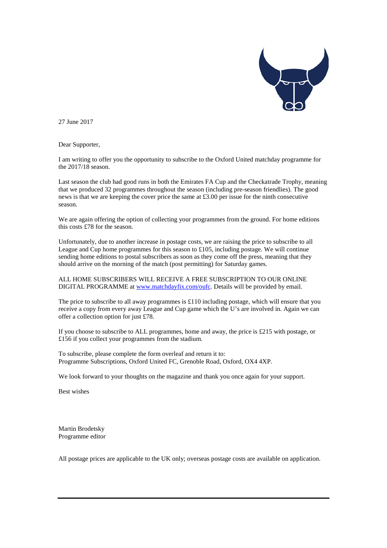

27 June 2017

Dear Supporter,

I am writing to offer you the opportunity to subscribe to the Oxford United matchday programme for the 2017/18 season.

Last season the club had good runs in both the Emirates FA Cup and the Checkatrade Trophy, meaning that we produced 32 programmes throughout the season (including pre-season friendlies). The good news is that we are keeping the cover price the same at £3.00 per issue for the ninth consecutive season.

We are again offering the option of collecting your programmes from the ground. For home editions this costs £78 for the season.

Unfortunately, due to another increase in postage costs, we are raising the price to subscribe to all League and Cup home programmes for this season to £105, including postage. We will continue sending home editions to postal subscribers as soon as they come off the press, meaning that they should arrive on the morning of the match (post permitting) for Saturday games.

ALL HOME SUBSCRIBERS WILL RECEIVE A FREE SUBSCRIPTION TO OUR ONLINE DIGITAL PROGRAMME a[t www.matchdayfix.com/oufc.](http://www.matchdayfix.com/oufc) Details will be provided by email.

The price to subscribe to all away programmes is  $\pounds 110$  including postage, which will ensure that you receive a copy from every away League and Cup game which the U's are involved in. Again we can offer a collection option for just £78.

If you choose to subscribe to ALL programmes, home and away, the price is £215 with postage, or £156 if you collect your programmes from the stadium.

To subscribe, please complete the form overleaf and return it to: Programme Subscriptions, Oxford United FC, Grenoble Road, Oxford, OX4 4XP.

We look forward to your thoughts on the magazine and thank you once again for your support.

Best wishes

Martin Brodetsky Programme editor

All postage prices are applicable to the UK only; overseas postage costs are available on application.